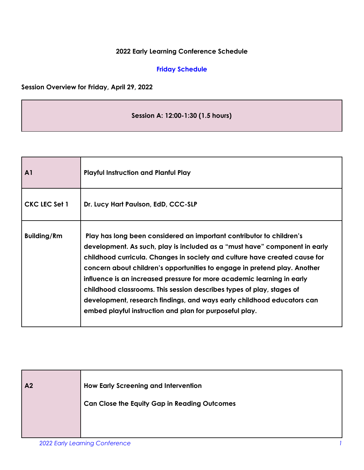#### **2022 Early Learning Conference Schedule**

#### **Friday Schedule**

#### **Session Overview for Friday, April 29, 2022**

### **Session A: 12:00-1:30 (1.5 hours)**

| $\mathbf{A}1$        | <b>Playful Instruction and Planful Play</b>                                                                                                                                                                                                                                                                                                                                                                                                                                                                                                                                                           |
|----------------------|-------------------------------------------------------------------------------------------------------------------------------------------------------------------------------------------------------------------------------------------------------------------------------------------------------------------------------------------------------------------------------------------------------------------------------------------------------------------------------------------------------------------------------------------------------------------------------------------------------|
| <b>CKC LEC Set 1</b> | Dr. Lucy Hart Paulson, EdD, CCC-SLP                                                                                                                                                                                                                                                                                                                                                                                                                                                                                                                                                                   |
| <b>Building/Rm</b>   | Play has long been considered an important contributor to children's<br>development. As such, play is included as a "must have" component in early<br>childhood curricula. Changes in society and culture have created cause for<br>concern about children's opportunities to engage in pretend play. Another<br>influence is an increased pressure for more academic learning in early<br>childhood classrooms. This session describes types of play, stages of<br>development, research findings, and ways early childhood educators can<br>embed playful instruction and plan for purposeful play. |

| A <sub>2</sub> | <b>How Early Screening and Intervention</b><br><b>Can Close the Equity Gap in Reading Outcomes</b> |
|----------------|----------------------------------------------------------------------------------------------------|
|                |                                                                                                    |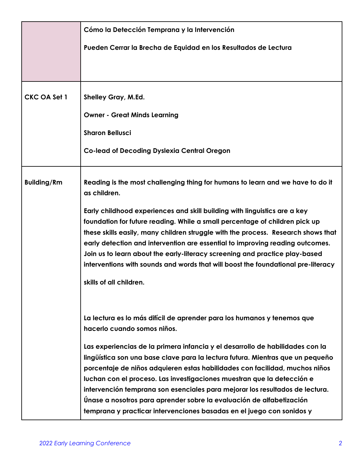|                     | Cómo la Detección Temprana y la Intervención                                                                                                                                                                                                                                                                                                                                                                                                                                                                                                              |
|---------------------|-----------------------------------------------------------------------------------------------------------------------------------------------------------------------------------------------------------------------------------------------------------------------------------------------------------------------------------------------------------------------------------------------------------------------------------------------------------------------------------------------------------------------------------------------------------|
|                     | Pueden Cerrar la Brecha de Equidad en los Resultados de Lectura                                                                                                                                                                                                                                                                                                                                                                                                                                                                                           |
|                     |                                                                                                                                                                                                                                                                                                                                                                                                                                                                                                                                                           |
|                     |                                                                                                                                                                                                                                                                                                                                                                                                                                                                                                                                                           |
| <b>CKC OA Set 1</b> | Shelley Gray, M.Ed.                                                                                                                                                                                                                                                                                                                                                                                                                                                                                                                                       |
|                     | <b>Owner - Great Minds Learning</b>                                                                                                                                                                                                                                                                                                                                                                                                                                                                                                                       |
|                     | <b>Sharon Bellusci</b>                                                                                                                                                                                                                                                                                                                                                                                                                                                                                                                                    |
|                     | <b>Co-lead of Decoding Dyslexia Central Oregon</b>                                                                                                                                                                                                                                                                                                                                                                                                                                                                                                        |
| <b>Building/Rm</b>  | Reading is the most challenging thing for humans to learn and we have to do it<br>as children.                                                                                                                                                                                                                                                                                                                                                                                                                                                            |
|                     | Early childhood experiences and skill building with linguistics are a key<br>foundation for future reading. While a small percentage of children pick up<br>these skills easily, many children struggle with the process. Research shows that<br>early detection and intervention are essential to improving reading outcomes.<br>Join us to learn about the early-literacy screening and practice play-based<br>interventions with sounds and words that will boost the foundational pre-literacy                                                        |
|                     | skills of all children.                                                                                                                                                                                                                                                                                                                                                                                                                                                                                                                                   |
|                     |                                                                                                                                                                                                                                                                                                                                                                                                                                                                                                                                                           |
|                     | La lectura es lo más difícil de aprender para los humanos y tenemos que<br>hacerlo cuando somos niños.                                                                                                                                                                                                                                                                                                                                                                                                                                                    |
|                     | Las experiencias de la primera infancia y el desarrollo de habilidades con la<br>lingüística son una base clave para la lectura futura. Mientras que un pequeño<br>porcentaje de niños adquieren estas habilidades con facilidad, muchos niños<br>luchan con el proceso. Las investigaciones muestran que la detección e<br>intervención temprana son esenciales para mejorar los resultados de lectura.<br>Únase a nosotros para aprender sobre la evaluación de alfabetización<br>temprana y practicar intervenciones basadas en el juego con sonidos y |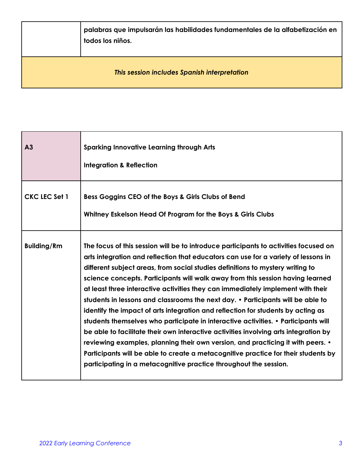|                                              | palabras que impulsarán las habilidades fundamentales de la alfabetización en<br>todos los niños. |
|----------------------------------------------|---------------------------------------------------------------------------------------------------|
| This session includes Spanish interpretation |                                                                                                   |

| A <sub>3</sub>       | <b>Sparking Innovative Learning through Arts</b><br><b>Integration &amp; Reflection</b>                                                                                                                                                                                                                                                                                                                                                                                                                                                                                                                                                                                                                                                                                                                                                                                                                                                                                                                                              |
|----------------------|--------------------------------------------------------------------------------------------------------------------------------------------------------------------------------------------------------------------------------------------------------------------------------------------------------------------------------------------------------------------------------------------------------------------------------------------------------------------------------------------------------------------------------------------------------------------------------------------------------------------------------------------------------------------------------------------------------------------------------------------------------------------------------------------------------------------------------------------------------------------------------------------------------------------------------------------------------------------------------------------------------------------------------------|
| <b>CKC LEC Set 1</b> | Bess Goggins CEO of the Boys & Girls Clubs of Bend<br>Whitney Eskelson Head Of Program for the Boys & Girls Clubs                                                                                                                                                                                                                                                                                                                                                                                                                                                                                                                                                                                                                                                                                                                                                                                                                                                                                                                    |
| <b>Building/Rm</b>   | The focus of this session will be to introduce participants to activities focused on<br>arts integration and reflection that educators can use for a variety of lessons in<br>different subject areas, from social studies definitions to mystery writing to<br>science concepts. Participants will walk away from this session having learned<br>at least three interactive activities they can immediately implement with their<br>students in lessons and classrooms the next day. • Participants will be able to<br>identify the impact of arts integration and reflection for students by acting as<br>students themselves who participate in interactive activities. • Participants will<br>be able to facilitate their own interactive activities involving arts integration by<br>reviewing examples, planning their own version, and practicing it with peers. •<br>Participants will be able to create a metacognitive practice for their students by<br>participating in a metacognitive practice throughout the session. |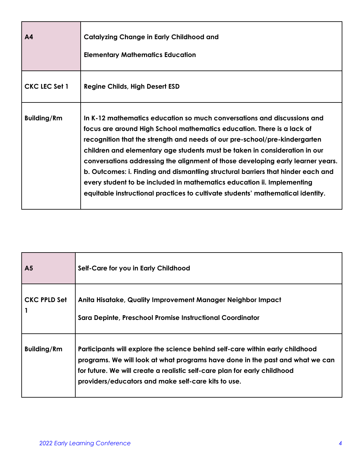| A <sub>4</sub>     | <b>Catalyzing Change in Early Childhood and</b><br><b>Elementary Mathematics Education</b>                                                                                                                                                                                                                                                                                                                                                                                                                                                                                                                                                        |
|--------------------|---------------------------------------------------------------------------------------------------------------------------------------------------------------------------------------------------------------------------------------------------------------------------------------------------------------------------------------------------------------------------------------------------------------------------------------------------------------------------------------------------------------------------------------------------------------------------------------------------------------------------------------------------|
| CKC LEC Set 1      | <b>Regine Childs, High Desert ESD</b>                                                                                                                                                                                                                                                                                                                                                                                                                                                                                                                                                                                                             |
| <b>Building/Rm</b> | In K-12 mathematics education so much conversations and discussions and<br>focus are around High School mathematics education. There is a lack of<br>recognition that the strength and needs of our pre-school/pre-kindergarten<br>children and elementary age students must be taken in consideration in our<br>conversations addressing the alignment of those developing early learner years.<br>b. Outcomes: i. Finding and dismantling structural barriers that hinder each and<br>every student to be included in mathematics education ii. Implementing<br>equitable instructional practices to cultivate students' mathematical identity. |

| A <sub>5</sub>      | Self-Care for you in Early Childhood                                                                                                                                                                                                                                                               |
|---------------------|----------------------------------------------------------------------------------------------------------------------------------------------------------------------------------------------------------------------------------------------------------------------------------------------------|
| <b>CKC PPLD Set</b> | Anita Hisatake, Quality Improvement Manager Neighbor Impact<br>Sara Depinte, Preschool Promise Instructional Coordinator                                                                                                                                                                           |
| <b>Building/Rm</b>  | Participants will explore the science behind self-care within early childhood<br>programs. We will look at what programs have done in the past and what we can<br>for future. We will create a realistic self-care plan for early childhood<br>providers/educators and make self-care kits to use. |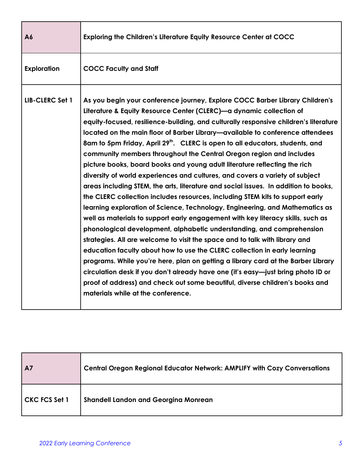| A6                 | Exploring the Children's Literature Equity Resource Center at COCC                                                                                                                                                                                                                                                                                                                                                                                                                                                                                                                                                                                                                                                                                                                                                                                                                                                                                                                                                                                                                                                                                                                                                                                                                                                                                                                                                                                                                                                                           |
|--------------------|----------------------------------------------------------------------------------------------------------------------------------------------------------------------------------------------------------------------------------------------------------------------------------------------------------------------------------------------------------------------------------------------------------------------------------------------------------------------------------------------------------------------------------------------------------------------------------------------------------------------------------------------------------------------------------------------------------------------------------------------------------------------------------------------------------------------------------------------------------------------------------------------------------------------------------------------------------------------------------------------------------------------------------------------------------------------------------------------------------------------------------------------------------------------------------------------------------------------------------------------------------------------------------------------------------------------------------------------------------------------------------------------------------------------------------------------------------------------------------------------------------------------------------------------|
| <b>Exploration</b> | <b>COCC Faculty and Staff</b>                                                                                                                                                                                                                                                                                                                                                                                                                                                                                                                                                                                                                                                                                                                                                                                                                                                                                                                                                                                                                                                                                                                                                                                                                                                                                                                                                                                                                                                                                                                |
| LIB-CLERC Set 1    | As you begin your conference journey, Explore COCC Barber Library Children's<br>Literature & Equity Resource Center (CLERC)—a dynamic collection of<br>equity-focused, resilience-building, and culturally responsive children's literature<br>located on the main floor of Barber Library—available to conference attendees<br>8am to 5pm Friday, April 29 <sup>th</sup> . CLERC is open to all educators, students, and<br>community members throughout the Central Oregon region and includes<br>picture books, board books and young adult literature reflecting the rich<br>diversity of world experiences and cultures, and covers a variety of subject<br>areas including STEM, the arts, literature and social issues. In addition to books,<br>the CLERC collection includes resources, including STEM kits to support early<br>learning exploration of Science, Technology, Engineering, and Mathematics as<br>well as materials to support early engagement with key literacy skills, such as<br>phonological development, alphabetic understanding, and comprehension<br>strategies. All are welcome to visit the space and to talk with library and<br>education faculty about how to use the CLERC collection in early learning<br>programs. While you're here, plan on getting a library card at the Barber Library<br>circulation desk if you don't already have one (it's easy-just bring photo ID or<br>proof of address) and check out some beautiful, diverse children's books and<br>materials while at the conference. |

| $\overline{A}$ | <b>Central Oregon Regional Educator Network: AMPLIFY with Cozy Conversations</b> |
|----------------|----------------------------------------------------------------------------------|
| CKC FCS Set 1  | <b>Shandell Landon and Georgina Monrean</b>                                      |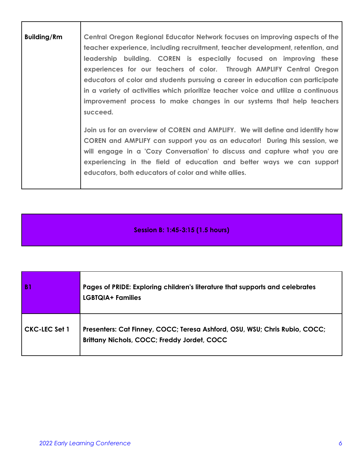| <b>Building/Rm</b> | Central Oregon Regional Educator Network focuses on improving aspects of the<br>teacher experience, including recruitment, teacher development, retention, and<br>leadership building. COREN is especially focused on improving these<br>experiences for our teachers of color. Through AMPLIFY Central Oregon<br>educators of color and students pursuing a career in education can participate<br>in a variety of activities which prioritize teacher voice and utilize a continuous<br>improvement process to make changes in our systems that help teachers<br>succeed. |
|--------------------|-----------------------------------------------------------------------------------------------------------------------------------------------------------------------------------------------------------------------------------------------------------------------------------------------------------------------------------------------------------------------------------------------------------------------------------------------------------------------------------------------------------------------------------------------------------------------------|
|                    | Join us for an overview of COREN and AMPLIFY. We will define and identify how<br>COREN and AMPLIFY can support you as an educator! During this session, we<br>will engage in a 'Cozy Conversation' to discuss and capture what you are<br>experiencing in the field of education and better ways we can support<br>educators, both educators of color and white allies.                                                                                                                                                                                                     |

# **Session B: 1:45-3:15 (1.5 hours)**

| B <sub>1</sub>       | Pages of PRIDE: Exploring children's literature that supports and celebrates<br><b>LGBTQIA+ Families</b>                         |
|----------------------|----------------------------------------------------------------------------------------------------------------------------------|
| <b>CKC-LEC Set 1</b> | Presenters: Cat Finney, COCC; Teresa Ashford, OSU, WSU; Chris Rubio, COCC;<br><b>Brittany Nichols, COCC; Freddy Jordet, COCC</b> |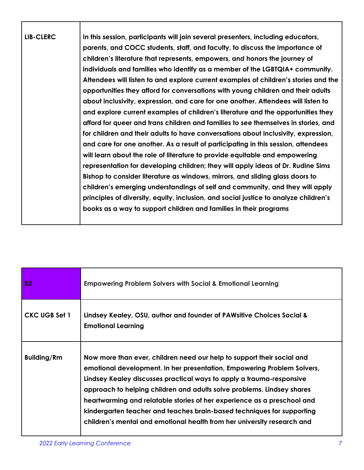| <b>LIB-CLERC</b> | In this session, participants will join several presenters, including educators,     |
|------------------|--------------------------------------------------------------------------------------|
|                  | parents, and COCC students, staff, and faculty, to discuss the importance of         |
|                  | children's literature that represents, empowers, and honors the journey of           |
|                  | individuals and families who identify as a member of the LGBTQIA+ community.         |
|                  | Attendees will listen to and explore current examples of children's stories and the  |
|                  | opportunities they afford for conversations with young children and their adults     |
|                  | about inclusivity, expression, and care for one another. Attendees will listen to    |
|                  | and explore current examples of children's literature and the opportunities they     |
|                  | afford for queer and trans children and families to see themselves in stories, and   |
|                  | for children and their adults to have conversations about inclusivity, expression,   |
|                  | and care for one another. As a result of participating in this session, attendees    |
|                  | will learn about the role of literature to provide equitable and empowering          |
|                  | representation for developing children; they will apply ideas of Dr. Rudine Sims     |
|                  | Bishop to consider literature as windows, mirrors, and sliding glass doors to        |
|                  | children's emerging understandings of self and community, and they will apply        |
|                  | principles of diversity, equity, inclusion, and social justice to analyze children's |
|                  | books as a way to support children and families in their programs                    |
|                  |                                                                                      |

| <b>B2</b>            | <b>Empowering Problem Solvers with Social &amp; Emotional Learning</b>                                                                                                                                                                                                                                                                                                                                                                                                                                                              |
|----------------------|-------------------------------------------------------------------------------------------------------------------------------------------------------------------------------------------------------------------------------------------------------------------------------------------------------------------------------------------------------------------------------------------------------------------------------------------------------------------------------------------------------------------------------------|
| <b>CKC UGB Set 1</b> | Lindsey Kealey, OSU, author and founder of PAWsitive Choices Social &<br><b>Emotional Learning</b>                                                                                                                                                                                                                                                                                                                                                                                                                                  |
| <b>Building/Rm</b>   | Now more than ever, children need our help to support their social and<br>emotional development. In her presentation, Empowering Problem Solvers,<br>Lindsey Kealey discusses practical ways to apply a trauma-responsive<br>approach to helping children and adults solve problems. Lindsey shares<br>heartwarming and relatable stories of her experience as a preschool and<br>kindergarten teacher and teaches brain-based techniques for supporting<br>children's mental and emotional health from her university research and |

Г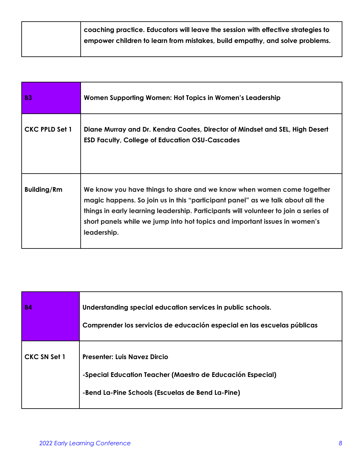| $\mid$ coaching practice. Educators will leave the session with effective strategies to |
|-----------------------------------------------------------------------------------------|
| empower children to learn from mistakes, build empathy, and solve problems.             |
|                                                                                         |

| <b>B3</b>             | Women Supporting Women: Hot Topics in Women's Leadership                                                                                                                                                                                                                                                                                     |
|-----------------------|----------------------------------------------------------------------------------------------------------------------------------------------------------------------------------------------------------------------------------------------------------------------------------------------------------------------------------------------|
| <b>CKC PPLD Set 1</b> | Diane Murray and Dr. Kendra Coates, Director of Mindset and SEL, High Desert<br><b>ESD Faculty, College of Education OSU-Cascades</b>                                                                                                                                                                                                        |
| <b>Building/Rm</b>    | We know you have things to share and we know when women come together<br>magic happens. So join us in this "participant panel" as we talk about all the<br>things in early learning leadership. Participants will volunteer to join a series of<br>short panels while we jump into hot topics and important issues in women's<br>leadership. |

| <b>B4</b>           | Understanding special education services in public schools.<br>Comprender los servicios de educación especial en las escuelas públicas                |
|---------------------|-------------------------------------------------------------------------------------------------------------------------------------------------------|
| <b>CKC SN Set 1</b> | <b>Presenter: Luis Navez Dircio</b><br>-Special Education Teacher (Maestro de Educación Especial)<br>-Bend La-Pine Schools (Escuelas de Bend La-Pine) |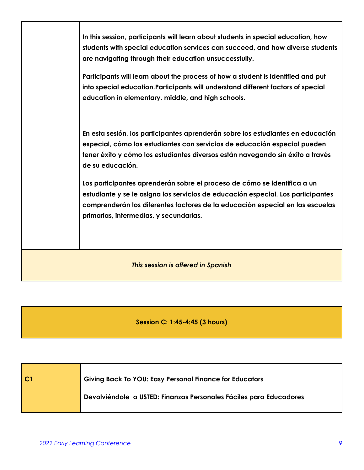|                                    | In this session, participants will learn about students in special education, how<br>students with special education services can succeed, and how diverse students<br>are navigating through their education unsuccessfully.                                                           |
|------------------------------------|-----------------------------------------------------------------------------------------------------------------------------------------------------------------------------------------------------------------------------------------------------------------------------------------|
|                                    | Participants will learn about the process of how a student is identified and put<br>into special education. Participants will understand different factors of special<br>education in elementary, middle, and high schools.                                                             |
|                                    | En esta sesión, los participantes aprenderán sobre los estudiantes en educación<br>especial, cómo los estudiantes con servicios de educación especial pueden<br>tener éxito y cómo los estudiantes diversos están navegando sin éxito a través<br>de su educación.                      |
|                                    | Los participantes aprenderán sobre el proceso de cómo se identifica a un<br>estudiante y se le asigna los servicios de educación especial. Los participantes<br>comprenderán los diferentes factores de la educación especial en las escuelas<br>primarias, intermedias, y secundarias. |
| This session is offered in Spanish |                                                                                                                                                                                                                                                                                         |

## **Session C: 1:45-4:45 (3 hours)**

| C <sub>1</sub> | <b>Giving Back To YOU: Easy Personal Finance for Educators</b>     |
|----------------|--------------------------------------------------------------------|
|                | Devolviéndole a USTED: Finanzas Personales Fáciles para Educadores |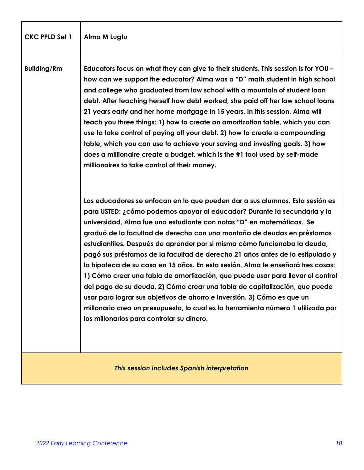| <b>CKC PPLD Set 1</b>                        | Alma M Lugtu                                                                                                                                                                                                                                                                                                                                                                                                                                                                                                                                                                                                                                                                                                                                                                                                                                                                                                                              |
|----------------------------------------------|-------------------------------------------------------------------------------------------------------------------------------------------------------------------------------------------------------------------------------------------------------------------------------------------------------------------------------------------------------------------------------------------------------------------------------------------------------------------------------------------------------------------------------------------------------------------------------------------------------------------------------------------------------------------------------------------------------------------------------------------------------------------------------------------------------------------------------------------------------------------------------------------------------------------------------------------|
| <b>Building/Rm</b>                           | Educators focus on what they can give to their students. This session is for YOU -<br>how can we support the educator? Alma was a "D" math student in high school<br>and college who graduated from law school with a mountain of student loan<br>debt. After teaching herself how debt worked, she paid off her law school loans<br>21 years early and her home mortgage in 15 years. In this session, Alma will<br>teach you three things: 1) how to create an amortization table, which you can<br>use to take control of paying off your debt. 2) how to create a compounding<br>table, which you can use to achieve your saving and investing goals. 3) how<br>does a millionaire create a budget, which is the #1 tool used by self-made<br>millionaires to take control of their money.                                                                                                                                            |
|                                              | Los educadores se enfocan en lo que pueden dar a sus alumnos. Esta sesión es<br>para USTED: ¿cómo podemos apoyar al educador? Durante la secundaria y la<br>universidad, Alma fue una estudiante con notas "D" en matemáticas. Se<br>graduó de la facultad de derecho con una montaña de deudas en préstamos<br>estudiantiles. Después de aprender por sí misma cómo funcionaba la deuda,<br>pagó sus préstamos de la facultad de derecho 21 años antes de lo estipulado y<br>la hipoteca de su casa en 15 años. En esta sesión, Alma le enseñará tres cosas:<br>1) Cómo crear una tabla de amortización, que puede usar para llevar el control<br>del pago de su deuda. 2) Cómo crear una tabla de capitalización, que puede<br>usar para lograr sus objetivos de ahorro e inversión. 3) Cómo es que un<br>millonario crea un presupuesto, lo cual es la herramienta número 1 utilizada por<br>los millonarios para controlar su dinero. |
| This session includes Spanish interpretation |                                                                                                                                                                                                                                                                                                                                                                                                                                                                                                                                                                                                                                                                                                                                                                                                                                                                                                                                           |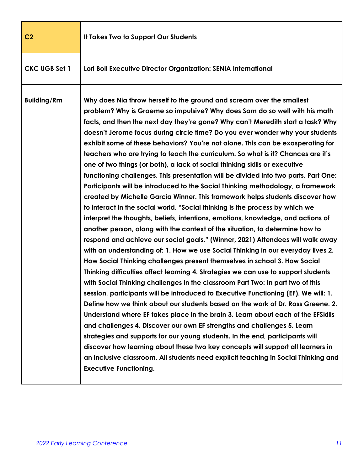| C <sub>2</sub>       | It Takes Two to Support Our Students                                                                                                                                                                                                                                                                                                                                                                                                                                                                                                                                                                                                                                                                                                                                                                                                                                                                                                                                                                                                                                                                                                                                                                                                                                                                                                                                                                                                                                                                                                                                                                                                                                                                                                                                                                                                                                                                                                                                                                                                                                                                                                                       |
|----------------------|------------------------------------------------------------------------------------------------------------------------------------------------------------------------------------------------------------------------------------------------------------------------------------------------------------------------------------------------------------------------------------------------------------------------------------------------------------------------------------------------------------------------------------------------------------------------------------------------------------------------------------------------------------------------------------------------------------------------------------------------------------------------------------------------------------------------------------------------------------------------------------------------------------------------------------------------------------------------------------------------------------------------------------------------------------------------------------------------------------------------------------------------------------------------------------------------------------------------------------------------------------------------------------------------------------------------------------------------------------------------------------------------------------------------------------------------------------------------------------------------------------------------------------------------------------------------------------------------------------------------------------------------------------------------------------------------------------------------------------------------------------------------------------------------------------------------------------------------------------------------------------------------------------------------------------------------------------------------------------------------------------------------------------------------------------------------------------------------------------------------------------------------------------|
| <b>CKC UGB Set 1</b> | Lori Boll Executive Director Organization: SENIA International                                                                                                                                                                                                                                                                                                                                                                                                                                                                                                                                                                                                                                                                                                                                                                                                                                                                                                                                                                                                                                                                                                                                                                                                                                                                                                                                                                                                                                                                                                                                                                                                                                                                                                                                                                                                                                                                                                                                                                                                                                                                                             |
| <b>Building/Rm</b>   | Why does Nia throw herself to the ground and scream over the smallest<br>problem? Why is Graeme so impulsive? Why does Sam do so well with his math<br>facts, and then the next day they're gone? Why can't Meredith start a task? Why<br>doesn't Jerome focus during circle time? Do you ever wonder why your students<br>exhibit some of these behaviors? You're not alone. This can be exasperating for<br>teachers who are trying to teach the curriculum. So what is it? Chances are it's<br>one of two things (or both), a lack of social thinking skills or executive<br>functioning challenges. This presentation will be divided into two parts. Part One:<br>Participants will be introduced to the Social Thinking methodology, a framework<br>created by Michelle Garcia Winner. This framework helps students discover how<br>to interact in the social world. "Social thinking is the process by which we<br>interpret the thoughts, beliefs, intentions, emotions, knowledge, and actions of<br>another person, along with the context of the situation, to determine how to<br>respond and achieve our social goals." (Winner, 2021) Attendees will walk away<br>with an understanding of: 1. How we use Social Thinking in our everyday lives 2.<br>How Social Thinking challenges present themselves in school 3. How Social<br>Thinking difficulties affect learning 4. Strategies we can use to support students<br>with Social Thinking challenges in the classroom Part Two: In part two of this<br>session, participants will be introduced to Executive Functioning (EF). We will: 1.<br>Define how we think about our students based on the work of Dr. Ross Greene. 2.<br>Understand where EF takes place in the brain 3. Learn about each of the EFSkills<br>and challenges 4. Discover our own EF strengths and challenges 5. Learn<br>strategies and supports for our young students. In the end, participants will<br>discover how learning about these two key concepts will support all learners in<br>an inclusive classroom. All students need explicit teaching in Social Thinking and<br><b>Executive Functioning.</b> |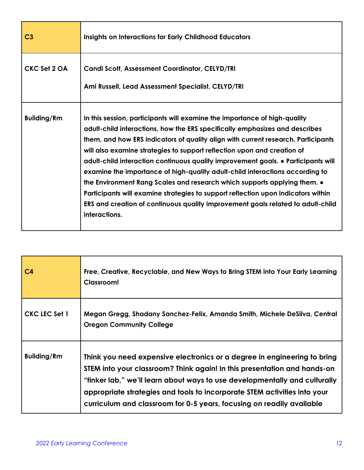| C <sub>3</sub>     | <b>Insights on Interactions for Early Childhood Educators</b>                                                                                                                                                                                                                                                                                                                                                                                                                                                                                                                                                                                                                                                                                                              |
|--------------------|----------------------------------------------------------------------------------------------------------------------------------------------------------------------------------------------------------------------------------------------------------------------------------------------------------------------------------------------------------------------------------------------------------------------------------------------------------------------------------------------------------------------------------------------------------------------------------------------------------------------------------------------------------------------------------------------------------------------------------------------------------------------------|
| CKC Set 2 OA       | <b>Candi Scott, Assessment Coordinator, CELYD/TRI</b><br>Ami Russell, Lead Assessment Specialist, CELYD/TRI                                                                                                                                                                                                                                                                                                                                                                                                                                                                                                                                                                                                                                                                |
| <b>Building/Rm</b> | In this session, participants will examine the importance of high-quality<br>adult-child interactions, how the ERS specifically emphasizes and describes<br>them, and how ERS indicators of quality align with current research. Participants<br>will also examine strategies to support reflection upon and creation of<br>adult-child interaction continuous quality improvement goals. • Participants will<br>examine the importance of high-quality adult-child interactions according to<br>the Environment Rang Scales and research which supports applying them. $\bullet$<br>Participants will examine strategies to support reflection upon indicators within<br>ERS and creation of continuous quality improvement goals related to adult-child<br>interactions. |

| C <sub>4</sub>     | Free, Creative, Recyclable, and New Ways to Bring STEM into Your Early Learning<br>Classroom!                                                                                                                                                                                                                                                                                            |
|--------------------|------------------------------------------------------------------------------------------------------------------------------------------------------------------------------------------------------------------------------------------------------------------------------------------------------------------------------------------------------------------------------------------|
| CKC LEC Set 1      | Megan Gregg, Shadany Sanchez-Felix, Amanda Smith, Michele DeSilva, Central<br><b>Oregon Community College</b>                                                                                                                                                                                                                                                                            |
| <b>Building/Rm</b> | Think you need expensive electronics or a degree in engineering to bring<br>STEM into your classroom? Think again! In this presentation and hands-on<br>"tinker lab," we'll learn about ways to use developmentally and culturally<br>appropriate strategies and tools to incorporate STEM activities into your<br>curriculum and classroom for 0-5 years, focusing on readily available |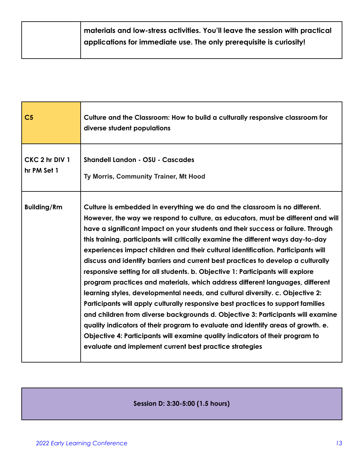| $\mid$ materials and low-stress activities. You'll leave the session with practical |
|-------------------------------------------------------------------------------------|
| applications for immediate use. The only prerequisite is curiosity!                 |
|                                                                                     |

| C <sub>5</sub>                | Culture and the Classroom: How to build a culturally responsive classroom for<br>diverse student populations                                                                                                                                                                                                                                                                                                                                                                                                                                                                                                                                                                                                                                                                                                                                                                                                                                                                                                                                                                                                                                                               |
|-------------------------------|----------------------------------------------------------------------------------------------------------------------------------------------------------------------------------------------------------------------------------------------------------------------------------------------------------------------------------------------------------------------------------------------------------------------------------------------------------------------------------------------------------------------------------------------------------------------------------------------------------------------------------------------------------------------------------------------------------------------------------------------------------------------------------------------------------------------------------------------------------------------------------------------------------------------------------------------------------------------------------------------------------------------------------------------------------------------------------------------------------------------------------------------------------------------------|
| CKC 2 hr DIV 1<br>hr PM Set 1 | <b>Shandell Landon - OSU - Cascades</b><br>Ty Morris, Community Trainer, Mt Hood                                                                                                                                                                                                                                                                                                                                                                                                                                                                                                                                                                                                                                                                                                                                                                                                                                                                                                                                                                                                                                                                                           |
| <b>Building/Rm</b>            | Culture is embedded in everything we do and the classroom is no different.<br>However, the way we respond to culture, as educators, must be different and will<br>have a significant impact on your students and their success or failure. Through<br>this training, participants will critically examine the different ways day-to-day<br>experiences impact children and their cultural identification. Participants will<br>discuss and identify barriers and current best practices to develop a culturally<br>responsive setting for all students. b. Objective 1: Participants will explore<br>program practices and materials, which address different languages, different<br>learning styles, developmental needs, and cultural diversity. c. Objective 2:<br>Participants will apply culturally responsive best practices to support families<br>and children from diverse backgrounds d. Objective 3: Participants will examine<br>quality indicators of their program to evaluate and identify areas of growth. e.<br>Objective 4: Participants will examine quality indicators of their program to<br>evaluate and implement current best practice strategies |

### **Session D: 3:30-5:00 (1.5 hours)**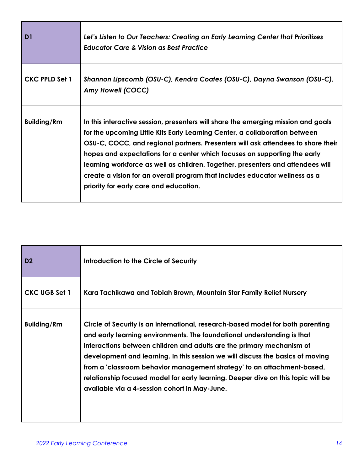| D <sub>1</sub>        | Let's Listen to Our Teachers: Creating an Early Learning Center that Prioritizes<br><b>Educator Care &amp; Vision as Best Practice</b>                                                                                                                                                                                                                                                                                                                                                                                                        |
|-----------------------|-----------------------------------------------------------------------------------------------------------------------------------------------------------------------------------------------------------------------------------------------------------------------------------------------------------------------------------------------------------------------------------------------------------------------------------------------------------------------------------------------------------------------------------------------|
| <b>CKC PPLD Set 1</b> | Shannon Lipscomb (OSU-C), Kendra Coates (OSU-C), Dayna Swanson (OSU-C),<br>Amy Howell (COCC)                                                                                                                                                                                                                                                                                                                                                                                                                                                  |
| <b>Building/Rm</b>    | In this interactive session, presenters will share the emerging mission and goals<br>for the upcoming Little Kits Early Learning Center, a collaboration between<br>OSU-C, COCC, and regional partners. Presenters will ask attendees to share their<br>hopes and expectations for a center which focuses on supporting the early<br>learning workforce as well as children. Together, presenters and attendees will<br>create a vision for an overall program that includes educator wellness as a<br>priority for early care and education. |

| D <sub>2</sub>       | Introduction to the Circle of Security                                                                                                                                                                                                                                                                                                                                                                                                                                                                                                |
|----------------------|---------------------------------------------------------------------------------------------------------------------------------------------------------------------------------------------------------------------------------------------------------------------------------------------------------------------------------------------------------------------------------------------------------------------------------------------------------------------------------------------------------------------------------------|
| <b>CKC UGB Set 1</b> | Kara Tachikawa and Tobiah Brown, Mountain Star Family Relief Nursery                                                                                                                                                                                                                                                                                                                                                                                                                                                                  |
| <b>Building/Rm</b>   | Circle of Security is an international, research-based model for both parenting<br>and early learning environments. The foundational understanding is that<br>interactions between children and adults are the primary mechanism of<br>development and learning. In this session we will discuss the basics of moving<br>from a 'classroom behavior management strategy' to an attachment-based,<br>relationship focused model for early learning. Deeper dive on this topic will be<br>available via a 4-session cohort in May-June. |

п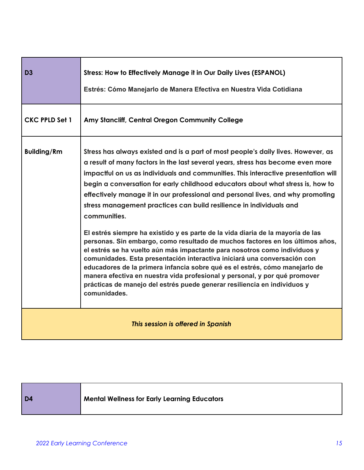| D <sub>3</sub>                     | <b>Stress: How to Effectively Manage it in Our Daily Lives (ESPANOL)</b><br>Estrés: Cómo Manejarlo de Manera Efectiva en Nuestra Vida Cotidiana                                                                                                                                                                                                                                                                                                                                                                                                                                                                                                                                                                                                                                                                                                                                                                                                                                                                                                                                                               |
|------------------------------------|---------------------------------------------------------------------------------------------------------------------------------------------------------------------------------------------------------------------------------------------------------------------------------------------------------------------------------------------------------------------------------------------------------------------------------------------------------------------------------------------------------------------------------------------------------------------------------------------------------------------------------------------------------------------------------------------------------------------------------------------------------------------------------------------------------------------------------------------------------------------------------------------------------------------------------------------------------------------------------------------------------------------------------------------------------------------------------------------------------------|
| <b>CKC PPLD Set 1</b>              | Amy Stancliff, Central Oregon Community College                                                                                                                                                                                                                                                                                                                                                                                                                                                                                                                                                                                                                                                                                                                                                                                                                                                                                                                                                                                                                                                               |
| <b>Building/Rm</b>                 | Stress has always existed and is a part of most people's daily lives. However, as<br>a result of many factors in the last several years, stress has become even more<br>impactful on us as individuals and communities. This interactive presentation will<br>begin a conversation for early childhood educators about what stress is, how to<br>effectively manage it in our professional and personal lives, and why promoting<br>stress management practices can build resilience in individuals and<br>communities.<br>El estrés siempre ha existido y es parte de la vida diaria de la mayoría de las<br>personas. Sin embargo, como resultado de muchos factores en los últimos años,<br>el estrés se ha vuelto aún más impactante para nosotros como individuos y<br>comunidades. Esta presentación interactiva iniciará una conversación con<br>educadores de la primera infancia sobre qué es el estrés, cómo manejarlo de<br>manera efectiva en nuestra vida profesional y personal, y por qué promover<br>prácticas de manejo del estrés puede generar resiliencia en individuos y<br>comunidades. |
| This session is offered in Spanish |                                                                                                                                                                                                                                                                                                                                                                                                                                                                                                                                                                                                                                                                                                                                                                                                                                                                                                                                                                                                                                                                                                               |

|  | $\overline{)$ D4 | <b>Mental Wellness for Early Learning Educators</b> |
|--|------------------|-----------------------------------------------------|
|--|------------------|-----------------------------------------------------|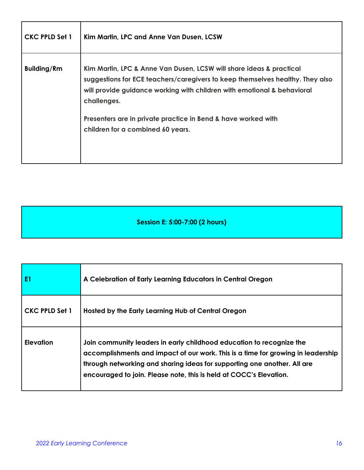| <b>CKC PPLD Set 1</b> | Kim Martin, LPC and Anne Van Dusen, LCSW                                                                                                                                                                                                                                                                                                             |
|-----------------------|------------------------------------------------------------------------------------------------------------------------------------------------------------------------------------------------------------------------------------------------------------------------------------------------------------------------------------------------------|
| <b>Building/Rm</b>    | Kim Martin, LPC & Anne Van Dusen, LCSW will share ideas & practical<br>suggestions for ECE teachers/caregivers to keep themselves healthy. They also<br>will provide guidance working with children with emotional & behavioral<br>challenges.<br>Presenters are in private practice in Bend & have worked with<br>children for a combined 60 years. |

**Session E: 5:00-7:00 (2 hours)**

| E <sub>1</sub> | A Celebration of Early Learning Educators in Central Oregon                                                                                                                                                                                                                                                |
|----------------|------------------------------------------------------------------------------------------------------------------------------------------------------------------------------------------------------------------------------------------------------------------------------------------------------------|
| CKC PPLD Set 1 | Hosted by the Early Learning Hub of Central Oregon                                                                                                                                                                                                                                                         |
| Elevation      | Join community leaders in early childhood education to recognize the<br>accomplishments and impact of our work. This is a time for growing in leadership<br>through networking and sharing ideas for supporting one another. All are<br>encouraged to join. Please note, this is held at COCC's Elevation. |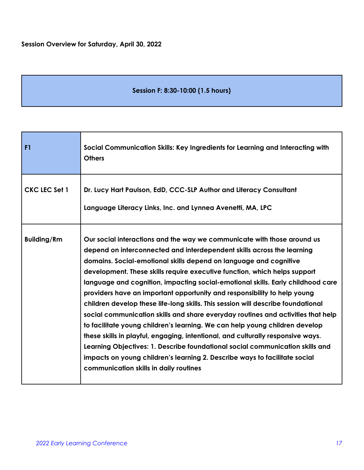#### **Session F: 8:30-10:00 (1.5 hours)**

| F <sub>1</sub>       | Social Communication Skills: Key Ingredients for Learning and Interacting with<br><b>Others</b>                                                                                                                                                                                                                                                                                                                                                                                                                                                                                                                                                                                                                                                                                                                                                                                                                                                                                                                       |
|----------------------|-----------------------------------------------------------------------------------------------------------------------------------------------------------------------------------------------------------------------------------------------------------------------------------------------------------------------------------------------------------------------------------------------------------------------------------------------------------------------------------------------------------------------------------------------------------------------------------------------------------------------------------------------------------------------------------------------------------------------------------------------------------------------------------------------------------------------------------------------------------------------------------------------------------------------------------------------------------------------------------------------------------------------|
| <b>CKC LEC Set 1</b> | Dr. Lucy Hart Paulson, EdD, CCC-SLP Author and Literacy Consultant<br>Language Literacy Links, Inc. and Lynnea Avenetti, MA, LPC                                                                                                                                                                                                                                                                                                                                                                                                                                                                                                                                                                                                                                                                                                                                                                                                                                                                                      |
| <b>Building/Rm</b>   | Our social interactions and the way we communicate with those around us<br>depend on interconnected and interdependent skills across the learning<br>domains. Social-emotional skills depend on language and cognitive<br>development. These skills require executive function, which helps support<br>language and cognition, impacting social-emotional skills. Early childhood care<br>providers have an important opportunity and responsibility to help young<br>children develop these life-long skills. This session will describe foundational<br>social communication skills and share everyday routines and activities that help<br>to facilitate young children's learning. We can help young children develop<br>these skills in playful, engaging, intentional, and culturally responsive ways.<br>Learning Objectives: 1. Describe foundational social communication skills and<br>impacts on young children's learning 2. Describe ways to facilitate social<br>communication skills in daily routines |

L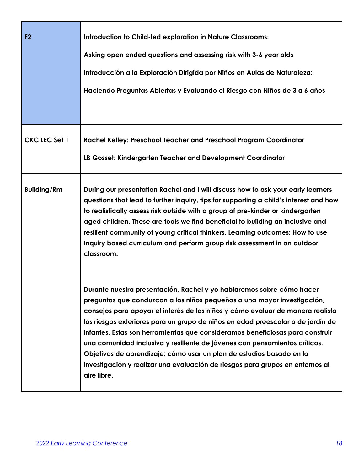| F2                   | <b>Introduction to Child-led exploration in Nature Classrooms:</b><br>Asking open ended questions and assessing risk with 3-6 year olds<br>Introducción a la Exploración Dirigida por Niños en Aulas de Naturaleza:<br>Haciendo Preguntas Abiertas y Evaluando el Riesgo con Niños de 3 a 6 años                                                                                                                                                                                                                                                                                                                                                             |
|----------------------|--------------------------------------------------------------------------------------------------------------------------------------------------------------------------------------------------------------------------------------------------------------------------------------------------------------------------------------------------------------------------------------------------------------------------------------------------------------------------------------------------------------------------------------------------------------------------------------------------------------------------------------------------------------|
| <b>CKC LEC Set 1</b> | Rachel Kelley: Preschool Teacher and Preschool Program Coordinator<br>LB Gosset: Kindergarten Teacher and Development Coordinator                                                                                                                                                                                                                                                                                                                                                                                                                                                                                                                            |
| <b>Building/Rm</b>   | During our presentation Rachel and I will discuss how to ask your early learners<br>questions that lead to further inquiry, tips for supporting a child's interest and how<br>to realistically assess risk outside with a group of pre-kinder or kindergarten<br>aged children. These are tools we find beneficial to building an inclusive and<br>resilient community of young critical thinkers. Learning outcomes: How to use<br>Inquiry based curriculum and perform group risk assessment in an outdoor<br>classroom.                                                                                                                                   |
|                      | Durante nuestra presentación, Rachel y yo hablaremos sobre cómo hacer<br>preguntas que conduzcan a los niños pequeños a una mayor investigación,<br>consejos para apoyar el interés de los niños y cómo evaluar de manera realista<br>los riesgos exteriores para un grupo de niños en edad preescolar o de jardín de<br>infantes. Estas son herramientas que consideramos beneficiosas para construir<br>una comunidad inclusiva y resiliente de jóvenes con pensamientos críticos.<br>Objetivos de aprendizaje: cómo usar un plan de estudios basado en la<br>investigación y realizar una evaluación de riesgos para grupos en entornos al<br>aire libre. |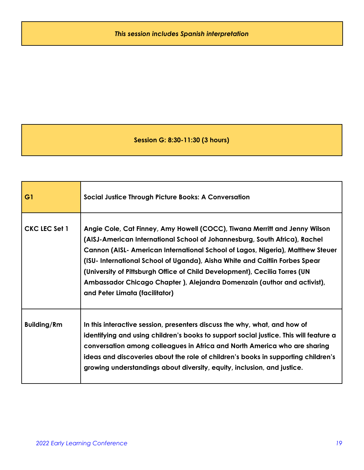### **Session G: 8:30-11:30 (3 hours)**

| G1                   | Social Justice Through Picture Books: A Conversation                                                                                                                                                                                                                                                                                                                                                                                                                                                                  |
|----------------------|-----------------------------------------------------------------------------------------------------------------------------------------------------------------------------------------------------------------------------------------------------------------------------------------------------------------------------------------------------------------------------------------------------------------------------------------------------------------------------------------------------------------------|
| <b>CKC LEC Set 1</b> | Angie Cole, Cat Finney, Amy Howell (COCC), Tiwana Merritt and Jenny Wilson<br>(AISJ-American International School of Johannesburg, South Africa), Rachel<br>Cannon (AISL- American International School of Lagos, Nigeria), Matthew Steuer<br>(ISU- International School of Uganda), Aisha White and Caitlin Forbes Spear<br>(University of Pittsburgh Office of Child Development), Cecilia Torres (UN<br>Ambassador Chicago Chapter ), Alejandra Domenzain (author and activist),<br>and Peter Limata (facilitator) |
| <b>Building/Rm</b>   | In this interactive session, presenters discuss the why, what, and how of<br>identifying and using children's books to support social justice. This will feature a<br>conversation among colleagues in Africa and North America who are sharing<br>ideas and discoveries about the role of children's books in supporting children's<br>growing understandings about diversity, equity, inclusion, and justice.                                                                                                       |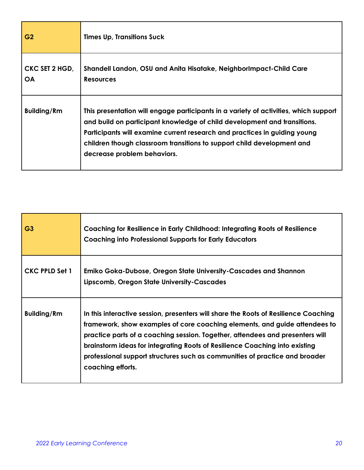| G <sub>2</sub>              | <b>Times Up, Transitions Suck</b>                                                                                                                                                                                                                                                                                                                      |
|-----------------------------|--------------------------------------------------------------------------------------------------------------------------------------------------------------------------------------------------------------------------------------------------------------------------------------------------------------------------------------------------------|
| CKC SET 2 HGD,<br><b>OA</b> | Shandell Landon, OSU and Anita Hisatake, NeighborImpact-Child Care<br><b>Resources</b>                                                                                                                                                                                                                                                                 |
| <b>Building/Rm</b>          | This presentation will engage participants in a variety of activities, which support<br>and build on participant knowledge of child development and transitions.<br>Participants will examine current research and practices in guiding young<br>children though classroom transitions to support child development and<br>decrease problem behaviors. |

| G <sub>3</sub>        | Coaching for Resilience in Early Childhood: Integrating Roots of Resilience<br><b>Coaching into Professional Supports for Early Educators</b>                                                                                                                                                                                                                                                                                         |
|-----------------------|---------------------------------------------------------------------------------------------------------------------------------------------------------------------------------------------------------------------------------------------------------------------------------------------------------------------------------------------------------------------------------------------------------------------------------------|
| <b>CKC PPLD Set 1</b> | Emiko Goka-Dubose, Oregon State University-Cascades and Shannon<br>Lipscomb, Oregon State University-Cascades                                                                                                                                                                                                                                                                                                                         |
| <b>Building/Rm</b>    | In this interactive session, presenters will share the Roots of Resilience Coaching<br>framework, show examples of core coaching elements, and guide attendees to<br>practice parts of a coaching session. Together, attendees and presenters will<br>brainstorm ideas for integrating Roots of Resilience Coaching into existing<br>professional support structures such as communities of practice and broader<br>coaching efforts. |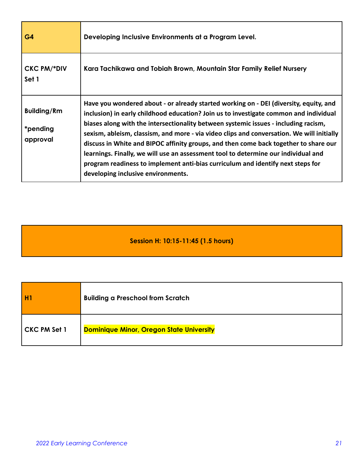| G4                                         | Developing Inclusive Environments at a Program Level.                                                                                                                                                                                                                                                                                                                                                                                                                                                                                                                                                                                                                     |
|--------------------------------------------|---------------------------------------------------------------------------------------------------------------------------------------------------------------------------------------------------------------------------------------------------------------------------------------------------------------------------------------------------------------------------------------------------------------------------------------------------------------------------------------------------------------------------------------------------------------------------------------------------------------------------------------------------------------------------|
| <b>CKC PM/*DIV</b><br>Set 1                | Kara Tachikawa and Tobiah Brown, Mountain Star Family Relief Nursery                                                                                                                                                                                                                                                                                                                                                                                                                                                                                                                                                                                                      |
| <b>Building/Rm</b><br>*pending<br>approval | Have you wondered about - or already started working on - DEI (diversity, equity, and<br>inclusion) in early childhood education? Join us to investigate common and individual<br>biases along with the intersectionality between systemic issues - including racism,<br>sexism, ableism, classism, and more - via video clips and conversation. We will initially<br>discuss in White and BIPOC affinity groups, and then come back together to share our<br>learnings. Finally, we will use an assessment tool to determine our individual and<br>program readiness to implement anti-bias curriculum and identify next steps for<br>developing inclusive environments. |

## **Session H: 10:15-11:45 (1.5 hours)**

|              | <b>Building a Preschool from Scratch</b>        |
|--------------|-------------------------------------------------|
| CKC PM Set 1 | <b>Dominique Minor, Oregon State University</b> |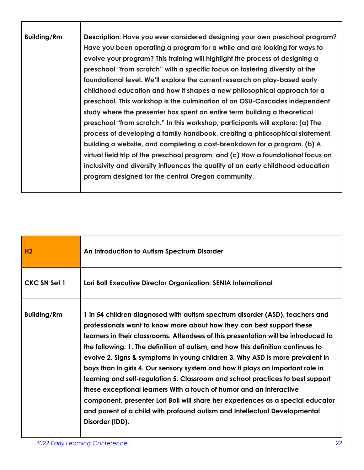| <b>Building/Rm</b> | Description: Have you ever considered designing your own preschool program?      |
|--------------------|----------------------------------------------------------------------------------|
|                    | Have you been operating a program for a while and are looking for ways to        |
|                    | evolve your program? This training will highlight the process of designing a     |
|                    | preschool "from scratch" with a specific focus on fostering diversity at the     |
|                    | foundational level. We'll explore the current research on play-based early       |
|                    | childhood education and how it shapes a new philosophical approach for a         |
|                    | preschool. This workshop is the culmination of an OSU-Cascades independent       |
|                    | study where the presenter has spent an entire term building a theoretical        |
|                    | preschool "from scratch." In this workshop, participants will explore: (a) The   |
|                    | process of developing a family handbook, creating a philosophical statement,     |
|                    | building a website, and completing a cost-breakdown for a program, (b) A         |
|                    | virtual field trip of the preschool program, and (c) How a foundational focus on |
|                    | inclusivity and diversity influences the quality of an early childhood education |
|                    | program designed for the central Oregon community.                               |
|                    |                                                                                  |

| H <sub>2</sub>     | An Introduction to Autism Spectrum Disorder                                                                                                                                                                                                                                                                                                                                                                                                                                                                                                                                                                                                                                                                                                                                                                                                   |
|--------------------|-----------------------------------------------------------------------------------------------------------------------------------------------------------------------------------------------------------------------------------------------------------------------------------------------------------------------------------------------------------------------------------------------------------------------------------------------------------------------------------------------------------------------------------------------------------------------------------------------------------------------------------------------------------------------------------------------------------------------------------------------------------------------------------------------------------------------------------------------|
| CKC SN Set 1       | Lori Boll Executive Director Organization: SENIA International                                                                                                                                                                                                                                                                                                                                                                                                                                                                                                                                                                                                                                                                                                                                                                                |
| <b>Building/Rm</b> | 1 in 54 children diagnosed with autism spectrum disorder (ASD), teachers and<br>professionals want to know more about how they can best support these<br>learners in their classrooms. Attendees of this presentation will be introduced to<br>the following: 1. The definition of autism, and how this definition continues to<br>evolve 2. Signs & symptoms in young children 3. Why ASD is more prevalent in<br>boys than in girls 4. Our sensory system and how it plays an important role in<br>learning and self-regulation 5. Classroom and school practices to best support<br>these exceptional learners With a touch of humor and an interactive<br>component, presenter Lori Boll will share her experiences as a special educator<br>and parent of a child with profound autism and Intellectual Developmental<br>Disorder (IDD). |

Е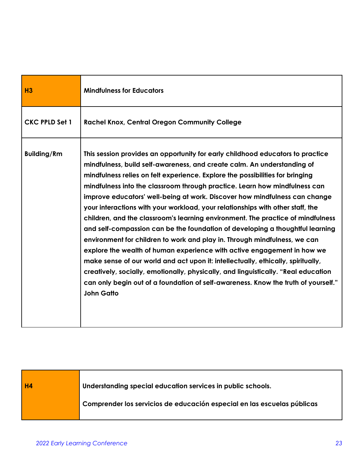| H3                    | <b>Mindfulness for Educators</b>                                                                                                                                                                                                                                                                                                                                                                                                                                                                                                                                                                                                                                                                                                                                                                                                                                                                                                                                                                                                                                                                          |
|-----------------------|-----------------------------------------------------------------------------------------------------------------------------------------------------------------------------------------------------------------------------------------------------------------------------------------------------------------------------------------------------------------------------------------------------------------------------------------------------------------------------------------------------------------------------------------------------------------------------------------------------------------------------------------------------------------------------------------------------------------------------------------------------------------------------------------------------------------------------------------------------------------------------------------------------------------------------------------------------------------------------------------------------------------------------------------------------------------------------------------------------------|
| <b>CKC PPLD Set 1</b> | <b>Rachel Knox, Central Oregon Community College</b>                                                                                                                                                                                                                                                                                                                                                                                                                                                                                                                                                                                                                                                                                                                                                                                                                                                                                                                                                                                                                                                      |
| <b>Building/Rm</b>    | This session provides an opportunity for early childhood educators to practice<br>mindfulness, build self-awareness, and create calm. An understanding of<br>mindfulness relies on felt experience. Explore the possibilities for bringing<br>mindfulness into the classroom through practice. Learn how mindfulness can<br>improve educators' well-being at work. Discover how mindfulness can change<br>your interactions with your workload, your relationships with other staff, the<br>children, and the classroom's learning environment. The practice of mindfulness<br>and self-compassion can be the foundation of developing a thoughtful learning<br>environment for children to work and play in. Through mindfulness, we can<br>explore the wealth of human experience with active engagement in how we<br>make sense of our world and act upon it: intellectually, ethically, spiritually,<br>creatively, socially, emotionally, physically, and linguistically. "Real education<br>can only begin out of a foundation of self-awareness. Know the truth of yourself."<br><b>John Gatto</b> |

**H4 Understanding special education services in public schools. Comprender los servicios de educación especial en las escuelas públicas**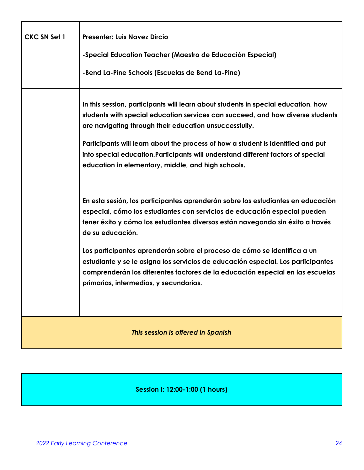| <b>CKC SN Set 1</b>                | <b>Presenter: Luis Navez Dircio</b>                                                                                                                                                                                                                                                     |
|------------------------------------|-----------------------------------------------------------------------------------------------------------------------------------------------------------------------------------------------------------------------------------------------------------------------------------------|
|                                    | -Special Education Teacher (Maestro de Educación Especial)                                                                                                                                                                                                                              |
|                                    | -Bend La-Pine Schools (Escuelas de Bend La-Pine)                                                                                                                                                                                                                                        |
|                                    | In this session, participants will learn about students in special education, how<br>students with special education services can succeed, and how diverse students<br>are navigating through their education unsuccessfully.                                                           |
|                                    | Participants will learn about the process of how a student is identified and put<br>into special education. Participants will understand different factors of special<br>education in elementary, middle, and high schools.                                                             |
|                                    | En esta sesión, los participantes aprenderán sobre los estudiantes en educación<br>especial, cómo los estudiantes con servicios de educación especial pueden<br>tener éxito y cómo los estudiantes diversos están navegando sin éxito a través<br>de su educación.                      |
|                                    | Los participantes aprenderán sobre el proceso de cómo se identifica a un<br>estudiante y se le asigna los servicios de educación especial. Los participantes<br>comprenderán los diferentes factores de la educación especial en las escuelas<br>primarias, intermedias, y secundarias. |
| This session is offered in Spanish |                                                                                                                                                                                                                                                                                         |

### **Session I: 12:00-1:00 (1 hours)**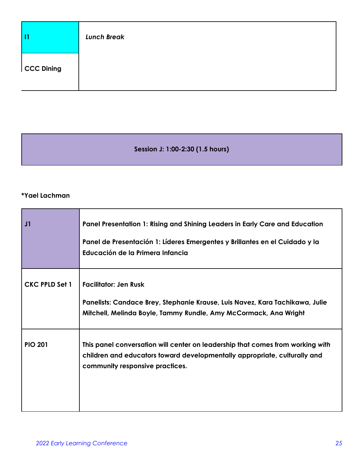|            | <b>Lunch Break</b> |
|------------|--------------------|
| CCC Dining |                    |

**Session J: 1:00-2:30 (1.5 hours)**

#### **\*Yael Lachman**

| J1             | Panel Presentation 1: Rising and Shining Leaders in Early Care and Education<br>Panel de Presentación 1: Líderes Emergentes y Brillantes en el Cuidado y la<br>Educación de la Primera Infancia |
|----------------|-------------------------------------------------------------------------------------------------------------------------------------------------------------------------------------------------|
| CKC PPLD Set 1 | <b>Facilitator: Jen Rusk</b><br>Panelists: Candace Brey, Stephanie Krause, Luis Navez, Kara Tachikawa, Julie<br>Mitchell, Melinda Boyle, Tammy Rundle, Amy McCormack, Ana Wright                |
| <b>PIO 201</b> | This panel conversation will center on leadership that comes from working with<br>children and educators toward developmentally appropriate, culturally and<br>community responsive practices.  |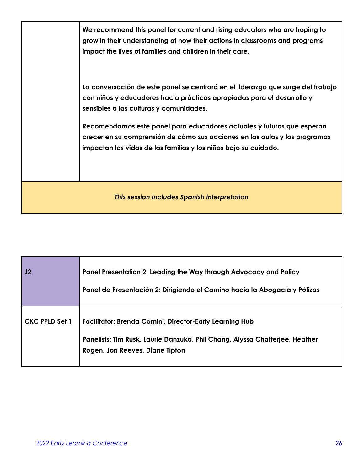|                                              | We recommend this panel for current and rising educators who are hoping to<br>grow in their understanding of how their actions in classrooms and programs<br>impact the lives of families and children in their care.   |
|----------------------------------------------|-------------------------------------------------------------------------------------------------------------------------------------------------------------------------------------------------------------------------|
|                                              | La conversación de este panel se centrará en el liderazgo que surge del trabajo<br>con niños y educadores hacia prácticas apropiadas para el desarrollo y<br>sensibles a las culturas y comunidades.                    |
|                                              | Recomendamos este panel para educadores actuales y futuros que esperan<br>crecer en su comprensión de cómo sus acciones en las aulas y los programas<br>impactan las vidas de las familias y los niños bajo su cuidado. |
| This session includes Spanish interpretation |                                                                                                                                                                                                                         |

| J2                    | Panel Presentation 2: Leading the Way through Advocacy and Policy<br>Panel de Presentación 2: Dirigiendo el Camino hacia la Abogacía y Pólizas                                   |
|-----------------------|----------------------------------------------------------------------------------------------------------------------------------------------------------------------------------|
| <b>CKC PPLD Set 1</b> | <b>Facilitator: Brenda Comini, Director-Early Learning Hub</b><br>Panelists: Tim Rusk, Laurie Danzuka, Phil Chang, Alyssa Chatterjee, Heather<br>Rogen, Jon Reeves, Diane Tipton |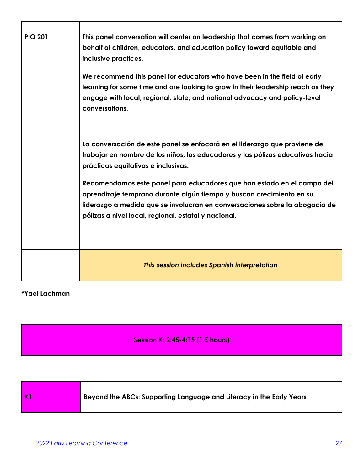| <b>PIO 201</b> | This panel conversation will center on leadership that comes from working on<br>behalf of children, educators, and education policy toward equitable and<br>inclusive practices.                                                                                                      |
|----------------|---------------------------------------------------------------------------------------------------------------------------------------------------------------------------------------------------------------------------------------------------------------------------------------|
|                | We recommend this panel for educators who have been in the field of early<br>learning for some time and are looking to grow in their leadership reach as they                                                                                                                         |
|                | engage with local, regional, state, and national advocacy and policy-level<br>conversations.                                                                                                                                                                                          |
|                | La conversación de este panel se enfocará en el liderazgo que proviene de<br>trabajar en nombre de los niños, los educadores y las pólizas educativas hacia<br>prácticas equitativas e inclusivas.                                                                                    |
|                | Recomendamos este panel para educadores que han estado en el campo del<br>aprendizaje temprano durante algún tiempo y buscan crecimiento en su<br>liderazgo a medida que se involucran en conversaciones sobre la abogacía de<br>pólizas a nivel local, regional, estatal y nacional. |
|                |                                                                                                                                                                                                                                                                                       |
|                | This session includes Spanish interpretation                                                                                                                                                                                                                                          |

#### **\*Yael Lachman**

**Session K: 2:45-4:15 (1.5 hours)**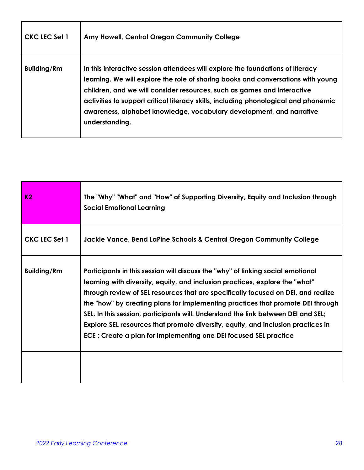| <b>CKC LEC Set 1</b> | Amy Howell, Central Oregon Community College                                                                                                                                                                                                                                                                                                                                                                                   |
|----------------------|--------------------------------------------------------------------------------------------------------------------------------------------------------------------------------------------------------------------------------------------------------------------------------------------------------------------------------------------------------------------------------------------------------------------------------|
| <b>Building/Rm</b>   | In this interactive session attendees will explore the foundations of literacy<br>learning. We will explore the role of sharing books and conversations with young<br>children, and we will consider resources, such as games and interactive<br>activities to support critical literacy skills, including phonological and phonemic<br>awareness, alphabet knowledge, vocabulary development, and narrative<br>understanding. |

| K <sub>2</sub>     | The "Why" "What" and "How" of Supporting Diversity, Equity and Inclusion through<br><b>Social Emotional Learning</b>                                                                                                                                                                                                                                                                                                                                                                                                                                                                 |
|--------------------|--------------------------------------------------------------------------------------------------------------------------------------------------------------------------------------------------------------------------------------------------------------------------------------------------------------------------------------------------------------------------------------------------------------------------------------------------------------------------------------------------------------------------------------------------------------------------------------|
| CKC LEC Set 1      | Jackie Vance, Bend LaPine Schools & Central Oregon Community College                                                                                                                                                                                                                                                                                                                                                                                                                                                                                                                 |
| <b>Building/Rm</b> | Participants in this session will discuss the "why" of linking social emotional<br>learning with diversity, equity, and inclusion practices, explore the "what"<br>through review of SEL resources that are specifically focused on DEI, and realize<br>the "how" by creating plans for implementing practices that promote DEI through<br>SEL. In this session, participants will: Understand the link between DEI and SEL;<br>Explore SEL resources that promote diversity, equity, and inclusion practices in<br>ECE; Create a plan for implementing one DEI focused SEL practice |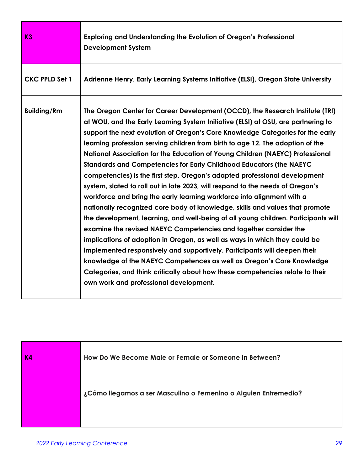| K3                    | Exploring and Understanding the Evolution of Oregon's Professional<br><b>Development System</b>                                                                                                                                                                                                                                                                                                                                                                                                                                                                                                                                                                                                                                                                                                                                                                                                                                                                                                                                                                                                                                                                                                                                                                                                                                                   |
|-----------------------|---------------------------------------------------------------------------------------------------------------------------------------------------------------------------------------------------------------------------------------------------------------------------------------------------------------------------------------------------------------------------------------------------------------------------------------------------------------------------------------------------------------------------------------------------------------------------------------------------------------------------------------------------------------------------------------------------------------------------------------------------------------------------------------------------------------------------------------------------------------------------------------------------------------------------------------------------------------------------------------------------------------------------------------------------------------------------------------------------------------------------------------------------------------------------------------------------------------------------------------------------------------------------------------------------------------------------------------------------|
| <b>CKC PPLD Set 1</b> | Adrienne Henry, Early Learning Systems Initiative (ELSI), Oregon State University                                                                                                                                                                                                                                                                                                                                                                                                                                                                                                                                                                                                                                                                                                                                                                                                                                                                                                                                                                                                                                                                                                                                                                                                                                                                 |
| <b>Building/Rm</b>    | The Oregon Center for Career Development (OCCD), the Research Institute (TRI)<br>at WOU, and the Early Learning System Initiative (ELSI) at OSU, are partnering to<br>support the next evolution of Oregon's Core Knowledge Categories for the early<br>learning profession serving children from birth to age 12. The adoption of the<br>National Association for the Education of Young Children (NAEYC) Professional<br>Standards and Competencies for Early Childhood Educators (the NAEYC<br>competencies) is the first step. Oregon's adapted professional development<br>system, slated to roll out in late 2023, will respond to the needs of Oregon's<br>workforce and bring the early learning workforce into alignment with a<br>nationally recognized core body of knowledge, skills and values that promote<br>the development, learning, and well-being of all young children. Participants will<br>examine the revised NAEYC Competencies and together consider the<br>implications of adoption in Oregon, as well as ways in which they could be<br>implemented responsively and supportively. Participants will deepen their<br>knowledge of the NAEYC Competences as well as Oregon's Core Knowledge<br>Categories, and think critically about how these competencies relate to their<br>own work and professional development. |

| <b>K4</b> | How Do We Become Male or Female or Someone In Between?          |
|-----------|-----------------------------------------------------------------|
|           | ¿Cómo llegamos a ser Masculino o Femenino o Alguien Entremedio? |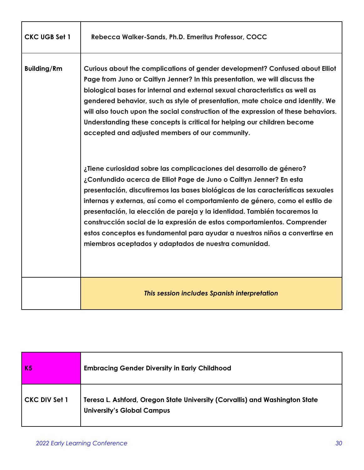| <b>CKC UGB Set 1</b> | Rebecca Walker-Sands, Ph.D. Emeritus Professor, COCC                                                                                                                                                                                                                                                                                                                                                                                                                                                                                                                                                                                                                                                                                                                                                                                                                                                                                                                                                                                                                                                                                                                 |
|----------------------|----------------------------------------------------------------------------------------------------------------------------------------------------------------------------------------------------------------------------------------------------------------------------------------------------------------------------------------------------------------------------------------------------------------------------------------------------------------------------------------------------------------------------------------------------------------------------------------------------------------------------------------------------------------------------------------------------------------------------------------------------------------------------------------------------------------------------------------------------------------------------------------------------------------------------------------------------------------------------------------------------------------------------------------------------------------------------------------------------------------------------------------------------------------------|
| <b>Building/Rm</b>   | Curious about the complications of gender development? Confused about Elliot<br>Page from Juno or Caitlyn Jenner? In this presentation, we will discuss the<br>biological bases for internal and external sexual characteristics as well as<br>gendered behavior, such as style of presentation, mate choice and identity. We<br>will also touch upon the social construction of the expression of these behaviors.<br>Understanding these concepts is critical for helping our children become<br>accepted and adjusted members of our community.<br>¿Tiene curiosidad sobre las complicaciones del desarrollo de género?<br>¿Confundido acerca de Elliot Page de Juno o Caitlyn Jenner? En esta<br>presentación, discutiremos las bases biológicas de las características sexuales<br>internas y externas, así como el comportamiento de género, como el estilo de<br>presentación, la elección de pareja y la identidad. También tocaremos la<br>construcción social de la expresión de estos comportamientos. Comprender<br>estos conceptos es fundamental para ayudar a nuestros niños a convertirse en<br>miembros aceptados y adaptados de nuestra comunidad. |
|                      | This session includes Spanish interpretation                                                                                                                                                                                                                                                                                                                                                                                                                                                                                                                                                                                                                                                                                                                                                                                                                                                                                                                                                                                                                                                                                                                         |

| K <sub>5</sub>       | <b>Embracing Gender Diversity in Early Childhood</b>                                                             |
|----------------------|------------------------------------------------------------------------------------------------------------------|
| <b>CKC DIV Set 1</b> | Teresa L. Ashford, Oregon State University (Corvallis) and Washington State<br><b>University's Global Campus</b> |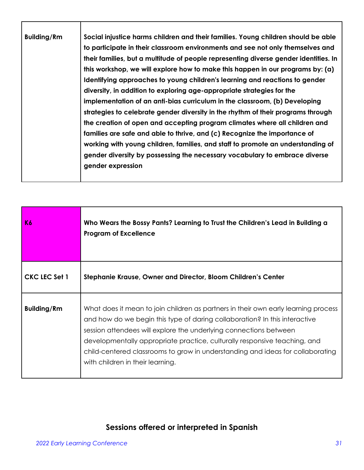| <b>Building/Rm</b>                                                                                                                                                                                                                                                                                                                                                                                                                                                                                                                                                                    |                                                                                                                                                                                                                                                                                                                                                                                                                                  |
|---------------------------------------------------------------------------------------------------------------------------------------------------------------------------------------------------------------------------------------------------------------------------------------------------------------------------------------------------------------------------------------------------------------------------------------------------------------------------------------------------------------------------------------------------------------------------------------|----------------------------------------------------------------------------------------------------------------------------------------------------------------------------------------------------------------------------------------------------------------------------------------------------------------------------------------------------------------------------------------------------------------------------------|
| Identifying approaches to young children's learning and reactions to gender<br>diversity, in addition to exploring age-appropriate strategies for the<br>implementation of an anti-bias curriculum in the classroom, (b) Developing<br>strategies to celebrate gender diversity in the rhythm of their programs through<br>the creation of open and accepting program climates where all children and<br>families are safe and able to thrive, and (c) Recognize the importance of<br>gender diversity by possessing the necessary vocabulary to embrace diverse<br>gender expression | Social injustice harms children and their families. Young children should be able<br>to participate in their classroom environments and see not only themselves and<br>their families, but a multitude of people representing diverse gender identities. In<br>this workshop, we will explore how to make this happen in our programs by: (a)<br>working with young children, families, and staff to promote an understanding of |

| K6                   | Who Wears the Bossy Pants? Learning to Trust the Children's Lead in Building a<br><b>Program of Excellence</b>                                                                                                                                                                                                                                                                                                                           |
|----------------------|------------------------------------------------------------------------------------------------------------------------------------------------------------------------------------------------------------------------------------------------------------------------------------------------------------------------------------------------------------------------------------------------------------------------------------------|
| <b>CKC LEC Set 1</b> | Stephanie Krause, Owner and Director, Bloom Children's Center                                                                                                                                                                                                                                                                                                                                                                            |
| <b>Building/Rm</b>   | What does it mean to join children as partners in their own early learning process<br>and how do we begin this type of daring collaboration? In this interactive<br>session attendees will explore the underlying connections between<br>developmentally appropriate practice, culturally responsive teaching, and<br>child-centered classrooms to grow in understanding and ideas for collaborating<br>with children in their learning. |

# **Sessions offered or interpreted in Spanish**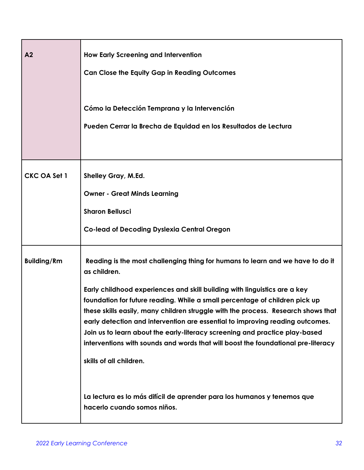| A <sub>2</sub>      | <b>How Early Screening and Intervention</b><br><b>Can Close the Equity Gap in Reading Outcomes</b><br>Cómo la Detección Temprana y la Intervención<br>Pueden Cerrar la Brecha de Equidad en los Resultados de Lectura                                                                                                                                                                                                                                                                                                                                                                                                                                                                                                                     |
|---------------------|-------------------------------------------------------------------------------------------------------------------------------------------------------------------------------------------------------------------------------------------------------------------------------------------------------------------------------------------------------------------------------------------------------------------------------------------------------------------------------------------------------------------------------------------------------------------------------------------------------------------------------------------------------------------------------------------------------------------------------------------|
| <b>CKC OA Set 1</b> | <b>Shelley Gray, M.Ed.</b><br><b>Owner - Great Minds Learning</b><br><b>Sharon Bellusci</b><br>Co-lead of Decoding Dyslexia Central Oregon                                                                                                                                                                                                                                                                                                                                                                                                                                                                                                                                                                                                |
| <b>Building/Rm</b>  | Reading is the most challenging thing for humans to learn and we have to do it<br>as children.<br>Early childhood experiences and skill building with linguistics are a key<br>foundation for future reading. While a small percentage of children pick up<br>these skills easily, many children struggle with the process. Research shows that<br>early detection and intervention are essential to improving reading outcomes.<br>Join us to learn about the early-literacy screening and practice play-based<br>interventions with sounds and words that will boost the foundational pre-literacy<br>skills of all children.<br>La lectura es lo más difícil de aprender para los humanos y tenemos que<br>hacerlo cuando somos niños. |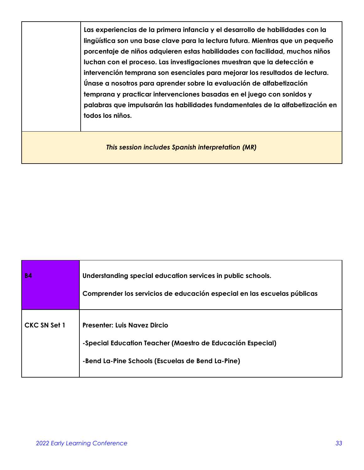|                                                   | Las experiencias de la primera infancia y el desarrollo de habilidades con la<br>lingüística son una base clave para la lectura futura. Mientras que un pequeño<br>porcentaje de niños adquieren estas habilidades con facilidad, muchos niños<br>luchan con el proceso. Las investigaciones muestran que la detección e<br>intervención temprana son esenciales para mejorar los resultados de lectura.<br>Únase a nosotros para aprender sobre la evaluación de alfabetización<br>temprana y practicar intervenciones basadas en el juego con sonidos y<br>palabras que impulsarán las habilidades fundamentales de la alfabetización en<br>todos los niños. |
|---------------------------------------------------|----------------------------------------------------------------------------------------------------------------------------------------------------------------------------------------------------------------------------------------------------------------------------------------------------------------------------------------------------------------------------------------------------------------------------------------------------------------------------------------------------------------------------------------------------------------------------------------------------------------------------------------------------------------|
| This session includes Spanish interpretation (MR) |                                                                                                                                                                                                                                                                                                                                                                                                                                                                                                                                                                                                                                                                |

| <b>B4</b>           | Understanding special education services in public schools.<br>Comprender los servicios de educación especial en las escuelas públicas                |
|---------------------|-------------------------------------------------------------------------------------------------------------------------------------------------------|
| <b>CKC SN Set 1</b> | <b>Presenter: Luis Navez Dircio</b><br>-Special Education Teacher (Maestro de Educación Especial)<br>-Bend La-Pine Schools (Escuelas de Bend La-Pine) |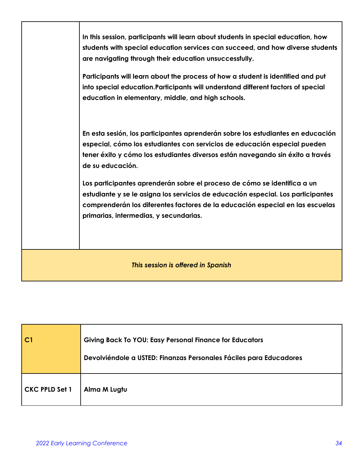|                                    | In this session, participants will learn about students in special education, how<br>students with special education services can succeed, and how diverse students<br>are navigating through their education unsuccessfully.                                                           |
|------------------------------------|-----------------------------------------------------------------------------------------------------------------------------------------------------------------------------------------------------------------------------------------------------------------------------------------|
|                                    | Participants will learn about the process of how a student is identified and put<br>into special education. Participants will understand different factors of special<br>education in elementary, middle, and high schools.                                                             |
|                                    | En esta sesión, los participantes aprenderán sobre los estudiantes en educación<br>especial, cómo los estudiantes con servicios de educación especial pueden<br>tener éxito y cómo los estudiantes diversos están navegando sin éxito a través<br>de su educación.                      |
|                                    | Los participantes aprenderán sobre el proceso de cómo se identifica a un<br>estudiante y se le asigna los servicios de educación especial. Los participantes<br>comprenderán los diferentes factores de la educación especial en las escuelas<br>primarias, intermedias, y secundarias. |
| This session is offered in Spanish |                                                                                                                                                                                                                                                                                         |

| CI                    | <b>Giving Back To YOU: Easy Personal Finance for Educators</b><br>Devolviéndole a USTED: Finanzas Personales Fáciles para Educadores |
|-----------------------|--------------------------------------------------------------------------------------------------------------------------------------|
| <b>CKC PPLD Set 1</b> | Alma M Lugtu                                                                                                                         |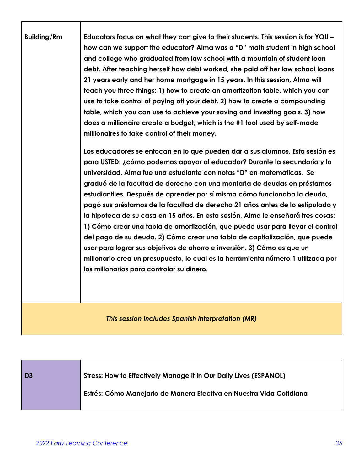| <b>Building/Rm</b> | Educators focus on what they can give to their students. This session is for YOU -<br>how can we support the educator? Alma was a "D" math student in high school<br>and college who graduated from law school with a mountain of student loan<br>debt. After teaching herself how debt worked, she paid off her law school loans<br>21 years early and her home mortgage in 15 years. In this session, Alma will<br>teach you three things: 1) how to create an amortization table, which you can<br>use to take control of paying off your debt. 2) how to create a compounding<br>table, which you can use to achieve your saving and investing goals. 3) how<br>does a millionaire create a budget, which is the #1 tool used by self-made<br>millionaires to take control of their money.<br>Los educadores se enfocan en lo que pueden dar a sus alumnos. Esta sesión es<br>para USTED: ¿cómo podemos apoyar al educador? Durante la secundaria y la<br>universidad, Alma fue una estudiante con notas "D" en matemáticas. Se<br>graduó de la facultad de derecho con una montaña de deudas en préstamos<br>estudiantiles. Después de aprender por sí misma cómo funcionaba la deuda,<br>pagó sus préstamos de la facultad de derecho 21 años antes de lo estipulado y<br>la hipoteca de su casa en 15 años. En esta sesión, Alma le enseñará tres cosas:<br>1) Cómo crear una tabla de amortización, que puede usar para llevar el control<br>del pago de su deuda. 2) Cómo crear una tabla de capitalización, que puede<br>usar para lograr sus objetivos de ahorro e inversión. 3) Cómo es que un<br>millonario crea un presupuesto, lo cual es la herramienta número 1 utilizada por<br>los millonarios para controlar su dinero. |
|--------------------|---------------------------------------------------------------------------------------------------------------------------------------------------------------------------------------------------------------------------------------------------------------------------------------------------------------------------------------------------------------------------------------------------------------------------------------------------------------------------------------------------------------------------------------------------------------------------------------------------------------------------------------------------------------------------------------------------------------------------------------------------------------------------------------------------------------------------------------------------------------------------------------------------------------------------------------------------------------------------------------------------------------------------------------------------------------------------------------------------------------------------------------------------------------------------------------------------------------------------------------------------------------------------------------------------------------------------------------------------------------------------------------------------------------------------------------------------------------------------------------------------------------------------------------------------------------------------------------------------------------------------------------------------------------------------------------------------------------------------------------------|
|                    | This session includes Spanish interpretation (MR)                                                                                                                                                                                                                                                                                                                                                                                                                                                                                                                                                                                                                                                                                                                                                                                                                                                                                                                                                                                                                                                                                                                                                                                                                                                                                                                                                                                                                                                                                                                                                                                                                                                                                           |

| D <sub>3</sub> | <b>Stress: How to Effectively Manage it in Our Daily Lives (ESPANOL)</b> |
|----------------|--------------------------------------------------------------------------|
|                | Estrés: Cómo Manejarlo de Manera Efectiva en Nuestra Vida Cotidiana      |

Г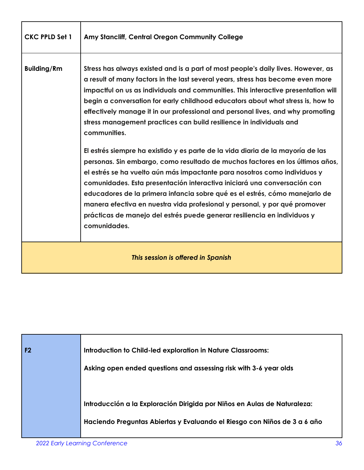| <b>CKC PPLD Set 1</b>              | Amy Stancliff, Central Oregon Community College                                                                                                                                                                                                                                                                                                                                                                                                                                                                                                                                                                                                                                             |
|------------------------------------|---------------------------------------------------------------------------------------------------------------------------------------------------------------------------------------------------------------------------------------------------------------------------------------------------------------------------------------------------------------------------------------------------------------------------------------------------------------------------------------------------------------------------------------------------------------------------------------------------------------------------------------------------------------------------------------------|
| <b>Building/Rm</b>                 | Stress has always existed and is a part of most people's daily lives. However, as<br>a result of many factors in the last several years, stress has become even more<br>impactful on us as individuals and communities. This interactive presentation will<br>begin a conversation for early childhood educators about what stress is, how to<br>effectively manage it in our professional and personal lives, and why promoting<br>stress management practices can build resilience in individuals and<br>communities.<br>El estrés siempre ha existido y es parte de la vida diaria de la mayoría de las<br>personas. Sin embargo, como resultado de muchos factores en los últimos años, |
|                                    | el estrés se ha vuelto aún más impactante para nosotros como individuos y<br>comunidades. Esta presentación interactiva iniciará una conversación con<br>educadores de la primera infancia sobre qué es el estrés, cómo manejarlo de<br>manera efectiva en nuestra vida profesional y personal, y por qué promover<br>prácticas de manejo del estrés puede generar resiliencia en individuos y<br>comunidades.                                                                                                                                                                                                                                                                              |
| This session is offered in Spanish |                                                                                                                                                                                                                                                                                                                                                                                                                                                                                                                                                                                                                                                                                             |

| F <sub>2</sub> | Introduction to Child-led exploration in Nature Classrooms:<br>Asking open ended questions and assessing risk with 3-6 year olds                     |
|----------------|------------------------------------------------------------------------------------------------------------------------------------------------------|
|                | Introducción a la Exploración Dirigida por Niños en Aulas de Naturaleza:<br>Haciendo Preguntas Abiertas y Evaluando el Riesgo con Niños de 3 a 6 año |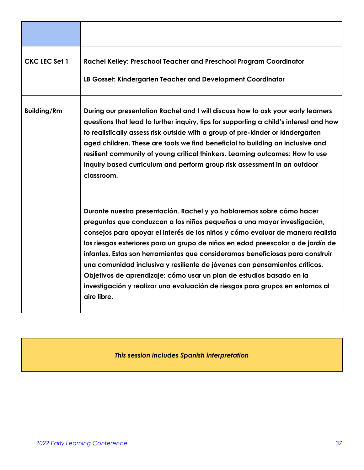| CKC LEC Set 1      | Rachel Kelley: Preschool Teacher and Preschool Program Coordinator<br>LB Gosset: Kindergarten Teacher and Development Coordinator                                                                                                                                                                                                                                                                                                                                                                                                                                                                                                                            |
|--------------------|--------------------------------------------------------------------------------------------------------------------------------------------------------------------------------------------------------------------------------------------------------------------------------------------------------------------------------------------------------------------------------------------------------------------------------------------------------------------------------------------------------------------------------------------------------------------------------------------------------------------------------------------------------------|
| <b>Building/Rm</b> | During our presentation Rachel and I will discuss how to ask your early learners<br>questions that lead to further inquiry, tips for supporting a child's interest and how<br>to realistically assess risk outside with a group of pre-kinder or kindergarten<br>aged children. These are tools we find beneficial to building an inclusive and<br>resilient community of young critical thinkers. Learning outcomes: How to use<br>Inquiry based curriculum and perform group risk assessment in an outdoor<br>classroom.                                                                                                                                   |
|                    | Durante nuestra presentación, Rachel y yo hablaremos sobre cómo hacer<br>preguntas que conduzcan a los niños pequeños a una mayor investigación,<br>consejos para apoyar el interés de los niños y cómo evaluar de manera realista<br>los riesgos exteriores para un grupo de niños en edad preescolar o de jardín de<br>infantes. Estas son herramientas que consideramos beneficiosas para construir<br>una comunidad inclusiva y resiliente de jóvenes con pensamientos críticos.<br>Objetivos de aprendizaje: cómo usar un plan de estudios basado en la<br>investigación y realizar una evaluación de riesgos para grupos en entornos al<br>aire libre. |

# *This session includes Spanish interpretation*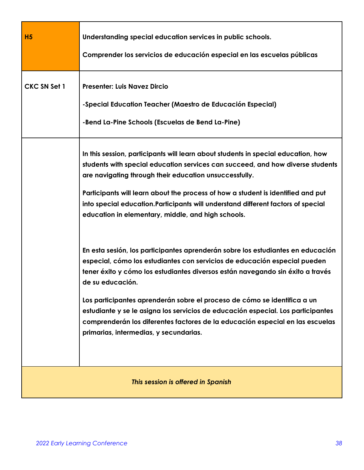| H <sub>5</sub>      | Understanding special education services in public schools.<br>Comprender los servicios de educación especial en las escuelas públicas                                                                                                                                                                                                                                                                                                                                                                                                                        |
|---------------------|---------------------------------------------------------------------------------------------------------------------------------------------------------------------------------------------------------------------------------------------------------------------------------------------------------------------------------------------------------------------------------------------------------------------------------------------------------------------------------------------------------------------------------------------------------------|
| <b>CKC SN Set 1</b> | <b>Presenter: Luis Navez Dircio</b><br>-Special Education Teacher (Maestro de Educación Especial)<br>-Bend La-Pine Schools (Escuelas de Bend La-Pine)                                                                                                                                                                                                                                                                                                                                                                                                         |
|                     | In this session, participants will learn about students in special education, how<br>students with special education services can succeed, and how diverse students<br>are navigating through their education unsuccessfully.<br>Participants will learn about the process of how a student is identified and put<br>into special education. Participants will understand different factors of special<br>education in elementary, middle, and high schools.                                                                                                  |
|                     | En esta sesión, los participantes aprenderán sobre los estudiantes en educación<br>especial, cómo los estudiantes con servicios de educación especial pueden<br>tener éxito y cómo los estudiantes diversos están navegando sin éxito a través<br>de su educación.<br>Los participantes aprenderán sobre el proceso de cómo se identifica a un<br>estudiante y se le asigna los servicios de educación especial. Los participantes<br>comprenderán los diferentes factores de la educación especial en las escuelas<br>primarias, intermedias, y secundarias. |
|                     | This session is offered in Spanish                                                                                                                                                                                                                                                                                                                                                                                                                                                                                                                            |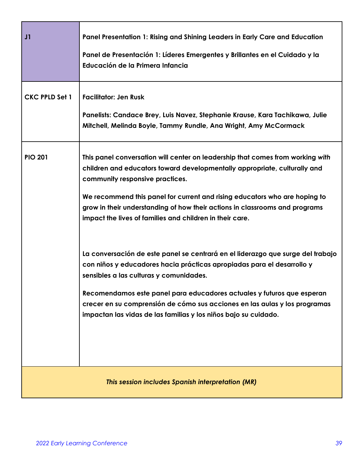| J1                    | Panel Presentation 1: Rising and Shining Leaders in Early Care and Education<br>Panel de Presentación 1: Líderes Emergentes y Brillantes en el Cuidado y la<br>Educación de la Primera Infancia                                                                                                                                                                                                                                                                                                                                                                                                                                                                                                                                                                                                                                                            |
|-----------------------|------------------------------------------------------------------------------------------------------------------------------------------------------------------------------------------------------------------------------------------------------------------------------------------------------------------------------------------------------------------------------------------------------------------------------------------------------------------------------------------------------------------------------------------------------------------------------------------------------------------------------------------------------------------------------------------------------------------------------------------------------------------------------------------------------------------------------------------------------------|
| <b>CKC PPLD Set 1</b> | <b>Facilitator: Jen Rusk</b><br>Panelists: Candace Brey, Luis Navez, Stephanie Krause, Kara Tachikawa, Julie<br>Mitchell, Melinda Boyle, Tammy Rundle, Ana Wright, Amy McCormack                                                                                                                                                                                                                                                                                                                                                                                                                                                                                                                                                                                                                                                                           |
| <b>PIO 201</b>        | This panel conversation will center on leadership that comes from working with<br>children and educators toward developmentally appropriate, culturally and<br>community responsive practices.<br>We recommend this panel for current and rising educators who are hoping to<br>grow in their understanding of how their actions in classrooms and programs<br>impact the lives of families and children in their care.<br>La conversación de este panel se centrará en el liderazgo que surge del trabajo<br>con niños y educadores hacia prácticas apropiadas para el desarrollo y<br>sensibles a las culturas y comunidades.<br>Recomendamos este panel para educadores actuales y futuros que esperan<br>crecer en su comprensión de cómo sus acciones en las aulas y los programas<br>impactan las vidas de las familias y los niños bajo su cuidado. |
|                       | This session includes Spanish interpretation (MR)                                                                                                                                                                                                                                                                                                                                                                                                                                                                                                                                                                                                                                                                                                                                                                                                          |

Г

п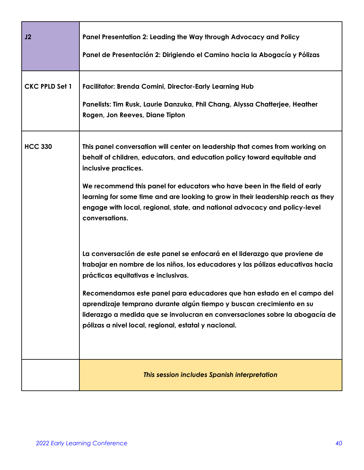| J2                    | Panel Presentation 2: Leading the Way through Advocacy and Policy<br>Panel de Presentación 2: Dirigiendo el Camino hacia la Abogacía y Pólizas                                                                                                                                                                                                                                                                                                                                              |
|-----------------------|---------------------------------------------------------------------------------------------------------------------------------------------------------------------------------------------------------------------------------------------------------------------------------------------------------------------------------------------------------------------------------------------------------------------------------------------------------------------------------------------|
| <b>CKC PPLD Set 1</b> | <b>Facilitator: Brenda Comini, Director-Early Learning Hub</b><br>Panelists: Tim Rusk, Laurie Danzuka, Phil Chang, Alyssa Chatterjee, Heather<br>Rogen, Jon Reeves, Diane Tipton                                                                                                                                                                                                                                                                                                            |
| <b>HCC 330</b>        | This panel conversation will center on leadership that comes from working on<br>behalf of children, educators, and education policy toward equitable and<br>inclusive practices.<br>We recommend this panel for educators who have been in the field of early<br>learning for some time and are looking to grow in their leadership reach as they<br>engage with local, regional, state, and national advocacy and policy-level<br>conversations.                                           |
|                       | La conversación de este panel se enfocará en el liderazgo que proviene de<br>trabajar en nombre de los niños, los educadores y las pólizas educativas hacia<br>prácticas equitativas e inclusivas.<br>Recomendamos este panel para educadores que han estado en el campo del<br>aprendizaje temprano durante algún tiempo y buscan crecimiento en su<br>liderazgo a medida que se involucran en conversaciones sobre la abogacía de<br>pólizas a nivel local, regional, estatal y nacional. |
|                       | This session includes Spanish interpretation                                                                                                                                                                                                                                                                                                                                                                                                                                                |